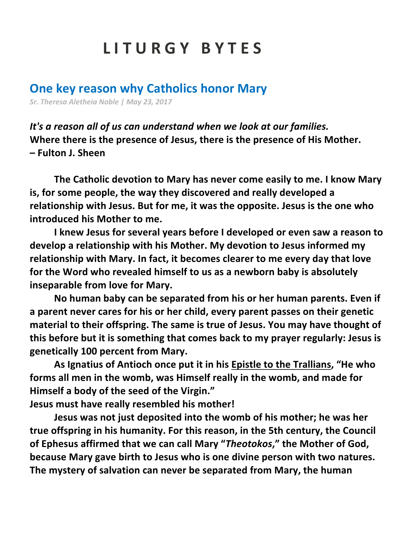## **L I T U R G Y B Y T E S**

## **One key reason why Catholics honor Mary**

*Sr. Theresa Aletheia Noble | May 23, 2017*

*It's a reason all of us can understand when we look at our families.* **Where there is the presence of Jesus, there is the presence of His Mother. – Fulton J. Sheen**

**The Catholic devotion to Mary has never come easily to me. I know Mary is, for some people, the way they discovered and really developed a relationship with Jesus. But for me, it was the opposite. Jesus is the one who introduced his Mother to me.**

**I knew Jesus for several years before I developed or even saw a reason to develop a relationship with his Mother. My devotion to Jesus informed my relationship with Mary. In fact, it becomes clearer to me every day that love for the Word who revealed himself to us as a newborn baby is absolutely inseparable from love for Mary.**

**No human baby can be separated from his or her human parents. Even if a parent never cares for his or her child, every parent passes on their genetic material to their offspring. The same is true of Jesus. You may have thought of this before but it is something that comes back to my prayer regularly: Jesus is genetically 100 percent from Mary.**

**As Ignatius of Antioch once put it in his Epistle to the Trallians, "He who forms all men in the womb, was Himself really in the womb, and made for Himself a body of the seed of the Virgin."**

**Jesus must have really resembled his mother!**

**Jesus was not just deposited into the womb of his mother; he was her true offspring in his humanity. For this reason, in the 5th century, the Council of Ephesus affirmed that we can call Mary "***Theotokos***," the Mother of God, because Mary gave birth to Jesus who is one divine person with two natures. The mystery of salvation can never be separated from Mary, the human**